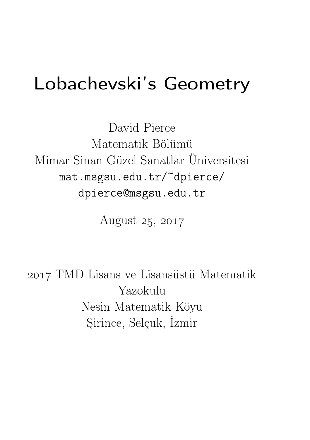# Lobachevski's Geometry

David Pierce Matematik Bölümü Mimar Sinan Güzel Sanatlar Üniversitesi mat.msgsu.edu.tr/~dpierce/ dpierce@msgsu.edu.tr

August  $25, 2017$ 

 TMD Lisans ve Lisansüstü Matematik Yazokulu Nesin Matematik Köyu Şirince, Selçuk, İzmir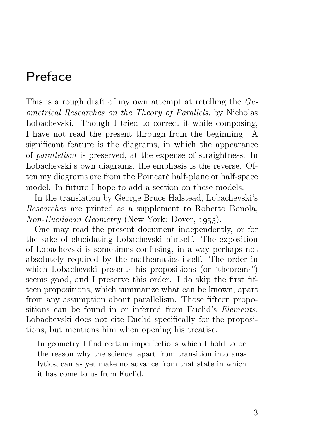# Preface

This is a rough draft of my own attempt at retelling the Geometrical Researches on the Theory of Parallels, by Nicholas Lobachevski. Though I tried to correct it while composing, I have not read the present through from the beginning. A significant feature is the diagrams, in which the appearance of parallelism is preserved, at the expense of straightness. In Lobachevski's own diagrams, the emphasis is the reverse. Often my diagrams are from the Poincaré half-plane or half-space model. In future I hope to add a section on these models.

In the translation by George Bruce Halstead, Lobachevski's Researches are printed as a supplement to Roberto Bonola,  $Non-Euclidean Geometry (New York: Dover, 1955).$ 

One may read the present document independently, or for the sake of elucidating Lobachevski himself. The exposition of Lobachevski is sometimes confusing, in a way perhaps not absolutely required by the mathematics itself. The order in which Lobachevski presents his propositions (or "theorems") seems good, and I preserve this order. I do skip the first fifteen propositions, which summarize what can be known, apart from any assumption about parallelism. Those fifteen propositions can be found in or inferred from Euclid's Elements. Lobachevski does not cite Euclid specifically for the propositions, but mentions him when opening his treatise:

In geometry I find certain imperfections which I hold to be the reason why the science, apart from transition into analytics, can as yet make no advance from that state in which it has come to us from Euclid.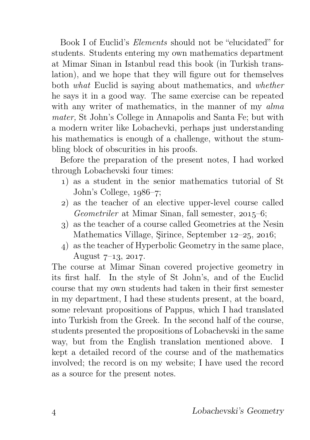Book I of Euclid's Elements should not be "elucidated" for students. Students entering my own mathematics department at Mimar Sinan in Istanbul read this book (in Turkish translation), and we hope that they will figure out for themselves both what Euclid is saying about mathematics, and whether he says it in a good way. The same exercise can be repeated with any writer of mathematics, in the manner of my alma mater, St John's College in Annapolis and Santa Fe; but with a modern writer like Lobachevki, perhaps just understanding his mathematics is enough of a challenge, without the stumbling block of obscurities in his proofs.

Before the preparation of the present notes, I had worked through Lobachevski four times:

- ) as a student in the senior mathematics tutorial of St John's College,  $1986-7$ ;
- ) as the teacher of an elective upper-level course called Geometriler at Mimar Sinan, fall semester,  $2015-6$ ;
- ) as the teacher of a course called Geometries at the Nesin Mathematics Village, Sirince, September  $12-25$ ,  $2016$ ;
- ) as the teacher of Hyperbolic Geometry in the same place, August  $7-13$ , 2017.

The course at Mimar Sinan covered projective geometry in its first half. In the style of St John's, and of the Euclid course that my own students had taken in their first semester in my department, I had these students present, at the board, some relevant propositions of Pappus, which I had translated into Turkish from the Greek. In the second half of the course, students presented the propositions of Lobachevski in the same way, but from the English translation mentioned above. I kept a detailed record of the course and of the mathematics involved; the record is on my website; I have used the record as a source for the present notes.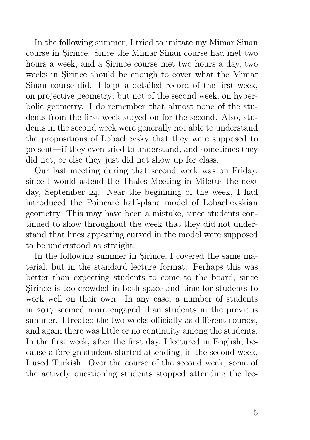In the following summer, I tried to imitate my Mimar Sinan course in Şirince. Since the Mimar Sinan course had met two hours a week, and a Şirince course met two hours a day, two weeks in Şirince should be enough to cover what the Mimar Sinan course did. I kept a detailed record of the first week, on projective geometry; but not of the second week, on hyperbolic geometry. I do remember that almost none of the students from the first week stayed on for the second. Also, students in the second week were generally not able to understand the propositions of Lobachevsky that they were supposed to present—if they even tried to understand, and sometimes they did not, or else they just did not show up for class.

Our last meeting during that second week was on Friday, since I would attend the Thales Meeting in Miletus the next day, September 24. Near the beginning of the week, I had introduced the Poincaré half-plane model of Lobachevskian geometry. This may have been a mistake, since students continued to show throughout the week that they did not understand that lines appearing curved in the model were supposed to be understood as straight.

In the following summer in Şirince, I covered the same material, but in the standard lecture format. Perhaps this was better than expecting students to come to the board, since Şirince is too crowded in both space and time for students to work well on their own. In any case, a number of students in 2017 seemed more engaged than students in the previous summer. I treated the two weeks officially as different courses, and again there was little or no continuity among the students. In the first week, after the first day, I lectured in English, because a foreign student started attending; in the second week, I used Turkish. Over the course of the second week, some of the actively questioning students stopped attending the lec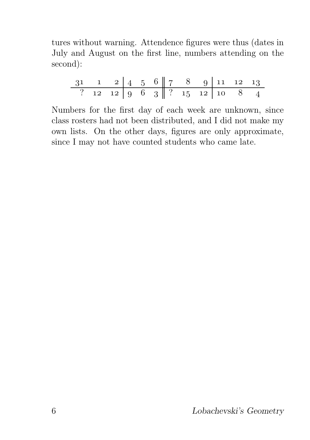tures without warning. Attendence figures were thus (dates in July and August on the first line, numbers attending on the second):

| $31 \quad 1 \quad 2 \quad 4 \quad 5 \quad 6 \quad 7 \quad 8 \quad 9 \quad 11 \quad 12 \quad 13$ |  |  |  |                                    |  |  |
|-------------------------------------------------------------------------------------------------|--|--|--|------------------------------------|--|--|
|                                                                                                 |  |  |  | ? 12 12   9 6 3   ? 15 12   10 8 4 |  |  |

Numbers for the first day of each week are unknown, since class rosters had not been distributed, and I did not make my own lists. On the other days, figures are only approximate, since I may not have counted students who came late.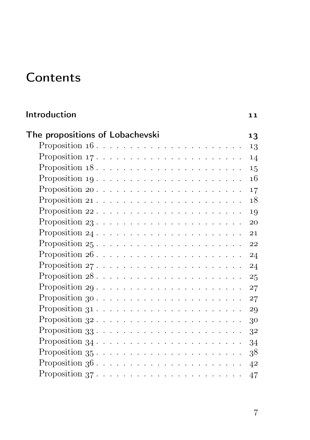# **Contents**

| Introduction                                                              | 11 |
|---------------------------------------------------------------------------|----|
| The propositions of Lobachevski                                           | 13 |
| Proposition $16. \ldots \ldots \ldots \ldots \ldots \ldots \ldots$        | 13 |
|                                                                           | 14 |
| Proposition $18. \ldots \ldots \ldots \ldots \ldots \ldots \ldots \ldots$ | 15 |
| Proposition $19 \ldots \ldots \ldots \ldots \ldots \ldots \ldots \ldots$  | 16 |
|                                                                           | 17 |
|                                                                           | 18 |
|                                                                           | 19 |
| Proposition $23$                                                          | 20 |
|                                                                           | 21 |
|                                                                           | 22 |
| Proposition $26 \ldots \ldots \ldots \ldots \ldots \ldots \ldots \ldots$  | 24 |
|                                                                           | 24 |
|                                                                           | 25 |
|                                                                           | 27 |
|                                                                           |    |
|                                                                           | 27 |
|                                                                           | 29 |
|                                                                           | 30 |
| Proposition $33$                                                          | 32 |
|                                                                           | 34 |
|                                                                           | 38 |
|                                                                           | 42 |
| Proposition $37. \ldots \ldots \ldots \ldots \ldots \ldots \ldots$        | 47 |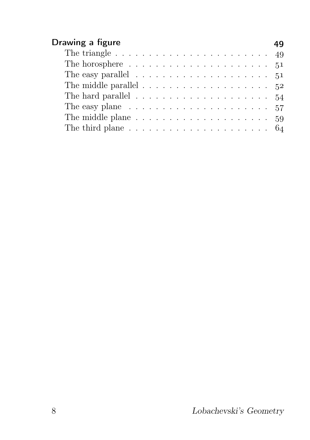| Drawing a figure                                                          | 49 |
|---------------------------------------------------------------------------|----|
| The triangle $\ldots \ldots \ldots \ldots \ldots \ldots \ldots \ldots$    |    |
| The horosphere $\dots \dots \dots \dots \dots \dots \dots \dots \dots 51$ |    |
| The easy parallel $\ldots \ldots \ldots \ldots \ldots \ldots 51$          |    |
| The middle parallel $\ldots \ldots \ldots \ldots \ldots \ldots$ 52        |    |
| The hard parallel $\ldots \ldots \ldots \ldots \ldots \ldots$ 54          |    |
| The easy plane $\ldots \ldots \ldots \ldots \ldots \ldots \ldots 57$      |    |
| The middle plane $\ldots \ldots \ldots \ldots \ldots \ldots \ldots 59$    |    |
|                                                                           |    |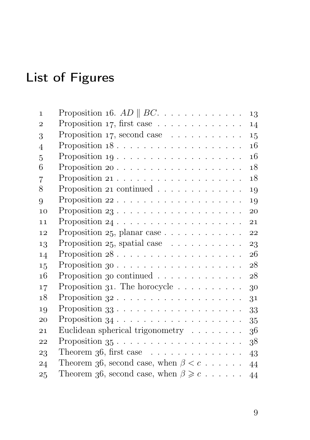# List of Figures

| Proposition 16. $AD \parallel BC$ .                                                                                    | 13                                                                                                                                                                                                                                                                                                                                                                                                                                                                                     |
|------------------------------------------------------------------------------------------------------------------------|----------------------------------------------------------------------------------------------------------------------------------------------------------------------------------------------------------------------------------------------------------------------------------------------------------------------------------------------------------------------------------------------------------------------------------------------------------------------------------------|
| Proposition 17, first case $\ldots \ldots \ldots \ldots$                                                               | 14                                                                                                                                                                                                                                                                                                                                                                                                                                                                                     |
| Proposition 17, second case $\ldots \ldots \ldots$                                                                     | 15                                                                                                                                                                                                                                                                                                                                                                                                                                                                                     |
| Proposition $18 \ldots \ldots \ldots \ldots \ldots \ldots$                                                             | 16                                                                                                                                                                                                                                                                                                                                                                                                                                                                                     |
| Proposition $19 \cdot \cdot \cdot \cdot \cdot \cdot \cdot \cdot \cdot \cdot \cdot \cdot \cdot \cdot \cdot \cdot \cdot$ | 16                                                                                                                                                                                                                                                                                                                                                                                                                                                                                     |
|                                                                                                                        | 18                                                                                                                                                                                                                                                                                                                                                                                                                                                                                     |
|                                                                                                                        | 18                                                                                                                                                                                                                                                                                                                                                                                                                                                                                     |
|                                                                                                                        | 19                                                                                                                                                                                                                                                                                                                                                                                                                                                                                     |
|                                                                                                                        | 19                                                                                                                                                                                                                                                                                                                                                                                                                                                                                     |
|                                                                                                                        | 20                                                                                                                                                                                                                                                                                                                                                                                                                                                                                     |
|                                                                                                                        | 21                                                                                                                                                                                                                                                                                                                                                                                                                                                                                     |
|                                                                                                                        | 22                                                                                                                                                                                                                                                                                                                                                                                                                                                                                     |
|                                                                                                                        | 23                                                                                                                                                                                                                                                                                                                                                                                                                                                                                     |
|                                                                                                                        | 26                                                                                                                                                                                                                                                                                                                                                                                                                                                                                     |
|                                                                                                                        | 28                                                                                                                                                                                                                                                                                                                                                                                                                                                                                     |
|                                                                                                                        | 28                                                                                                                                                                                                                                                                                                                                                                                                                                                                                     |
|                                                                                                                        | 30                                                                                                                                                                                                                                                                                                                                                                                                                                                                                     |
|                                                                                                                        | 31                                                                                                                                                                                                                                                                                                                                                                                                                                                                                     |
|                                                                                                                        | 33                                                                                                                                                                                                                                                                                                                                                                                                                                                                                     |
|                                                                                                                        | 35                                                                                                                                                                                                                                                                                                                                                                                                                                                                                     |
|                                                                                                                        | 36                                                                                                                                                                                                                                                                                                                                                                                                                                                                                     |
|                                                                                                                        | 38                                                                                                                                                                                                                                                                                                                                                                                                                                                                                     |
|                                                                                                                        | 43                                                                                                                                                                                                                                                                                                                                                                                                                                                                                     |
|                                                                                                                        | 44                                                                                                                                                                                                                                                                                                                                                                                                                                                                                     |
| Theorem 36, second case, when $\beta \geq c \ldots$                                                                    | 44                                                                                                                                                                                                                                                                                                                                                                                                                                                                                     |
|                                                                                                                        | Proposition 21 continued $\ldots \ldots \ldots \ldots$<br>Proposition $25$ , planar case<br>Proposition $25$ , spatial case $\ldots \ldots \ldots$<br>Proposition 30 continued $\ldots \ldots \ldots \ldots$<br>Proposition 31. The horocycle $\ldots \ldots \ldots$<br>Euclidean spherical trigonometry<br>Proposition $35 \cdot \cdot \cdot \cdot \cdot \cdot \cdot \cdot \cdot \cdot \cdot \cdot \cdot \cdot \cdot \cdot \cdot$<br>Theorem 36, second case, when $\beta < c \ldots$ |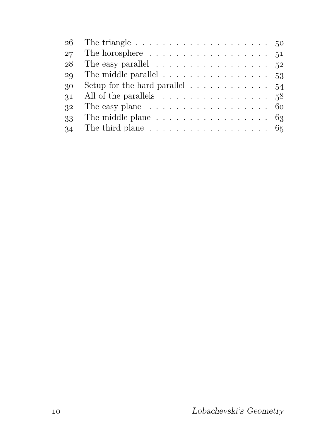|    | 26 The triangle $\ldots \ldots \ldots \ldots \ldots \ldots \ldots 50$ |  |
|----|-----------------------------------------------------------------------|--|
| 27 | The horosphere $\dots \dots \dots \dots \dots \dots \dots 51$         |  |
| 28 | The easy parallel $\ldots \ldots \ldots \ldots \ldots 52$             |  |
| 29 | The middle parallel $\dots \dots \dots \dots \dots \dots \dots$ 53    |  |
| 30 | Setup for the hard parallel $\ldots \ldots \ldots \ldots 54$          |  |
| 31 | All of the parallels $\ldots \ldots \ldots \ldots \ldots 58$          |  |
| 32 | The easy plane $\ldots \ldots \ldots \ldots \ldots \ldots 60$         |  |
| 33 | The middle plane $\ldots \ldots \ldots \ldots \ldots \ldots 63$       |  |
| 34 | The third plane $\ldots \ldots \ldots \ldots \ldots \ldots 65$        |  |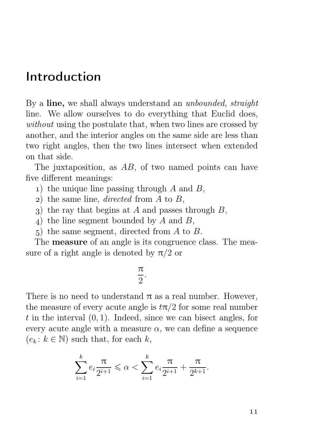## Introduction

By a line, we shall always understand an *unbounded*, *straight* line. We allow ourselves to do everything that Euclid does, without using the postulate that, when two lines are crossed by another, and the interior angles on the same side are less than two right angles, then the two lines intersect when extended on that side.

The juxtaposition, as  $AB$ , of two named points can have five different meanings:

- 1) the unique line passing through  $A$  and  $B$ ,
- 2) the same line, *directed* from  $A$  to  $B$ ,
- 3) the ray that begins at A and passes through  $B$ ,
- ) the line segment bounded by A and B,
- ) the same segment, directed from A to B.

The **measure** of an angle is its congruence class. The measure of a right angle is denoted by  $\pi/2$  or

#### π 2 .

There is no need to understand  $\pi$  as a real number. However, the measure of every acute angle is  $t\pi/2$  for some real number t in the interval  $(0, 1)$ . Indeed, since we can bisect angles, for every acute angle with a measure  $\alpha$ , we can define a sequence  $(e_k : k \in \mathbb{N})$  such that, for each k,

$$
\sum_{i=1}^{k} e_i \frac{\pi}{2^{i+1}} \leq \alpha < \sum_{i=1}^{k} e_i \frac{\pi}{2^{i+1}} + \frac{\pi}{2^{k+1}}.
$$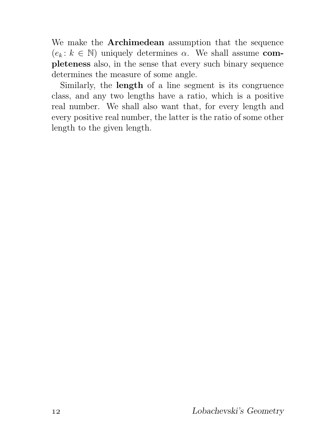We make the Archimedean assumption that the sequence  $(e_k : k \in \mathbb{N})$  uniquely determines  $\alpha$ . We shall assume completeness also, in the sense that every such binary sequence determines the measure of some angle.

Similarly, the length of a line segment is its congruence class, and any two lengths have a ratio, which is a positive real number. We shall also want that, for every length and every positive real number, the latter is the ratio of some other length to the given length.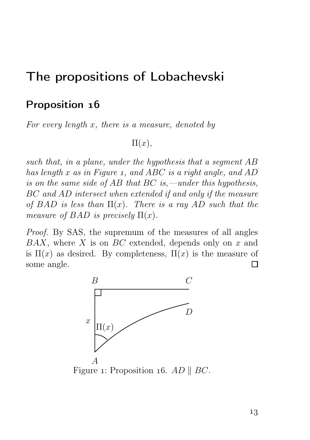## The propositions of Lobachevski

#### Proposition 16

For every length  $x$ , there is a measure, denoted by

 $\Pi(x)$ ,

such that, in a plane, under the hypothesis that a segment AB has length x as in Figure 1, and ABC is a right angle, and AD is on the same side of AB that BC is,—under this hypothesis, BC and AD intersect when extended if and only if the measure of BAD is less than  $\Pi(x)$ . There is a ray AD such that the measure of BAD is precisely  $\Pi(x)$ .

Proof. By SAS, the supremum of the measures of all angles  $BAX$ , where X is on  $BC$  extended, depends only on x and is  $\Pi(x)$  as desired. By completeness,  $\Pi(x)$  is the measure of some angle. П



Figure 1: Proposition 16. AD  $\parallel BC$ .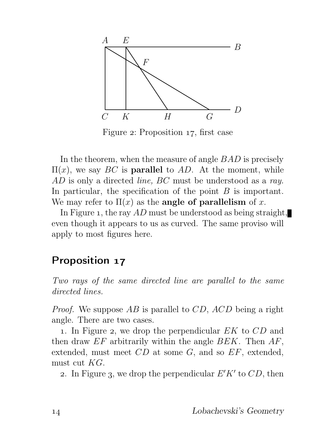

Figure 2: Proposition 17, first case

In the theorem, when the measure of angle *BAD* is precisely  $\Pi(x)$ , we say BC is **parallel** to AD. At the moment, while AD is only a directed line, BC must be understood as a ray. In particular, the specification of the point  $B$  is important. We may refer to  $\Pi(x)$  as the **angle of parallelism** of x.

In Figure 1, the ray  $AD$  must be understood as being straight, even though it appears to us as curved. The same proviso will apply to most figures here.

#### Proposition 17

Two rays of the same directed line are parallel to the same directed lines.

*Proof.* We suppose  $AB$  is parallel to  $CD$ ,  $ACD$  being a right angle. There are two cases.

1. In Figure 2, we drop the perpendicular  $EK$  to  $CD$  and then draw  $EF$  arbitrarily within the angle  $BEK$ . Then  $AF$ , extended, must meet  $CD$  at some  $G$ , and so  $EF$ , extended, must cut KG.

2. In Figure 3, we drop the perpendicular  $E'K'$  to  $CD$ , then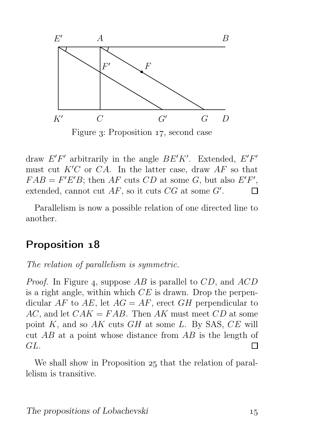

Figure 3: Proposition 17, second case

draw  $E'F'$  arbitrarily in the angle  $BE'K'$ . Extended,  $E'F'$ must cut  $K'C$  or  $CA$ . In the latter case, draw  $AF$  so that  $FAB = F'E'B$ ; then AF cuts CD at some G, but also  $E'F'$ , extended, cannot cut  $AF$ , so it cuts  $CG$  at some  $G'$ . П

Parallelism is now a possible relation of one directed line to another.

#### Proposition 18

The relation of parallelism is symmetric.

*Proof.* In Figure 4, suppose  $AB$  is parallel to  $CD$ , and  $ACD$ is a right angle, within which  $CE$  is drawn. Drop the perpendicular AF to AE, let  $AG = AF$ , erect GH perpendicular to  $AC$ , and let  $CAK = FAB$ . Then AK must meet CD at some point  $K$ , and so  $AK$  cuts  $GH$  at some  $L$ . By SAS,  $CE$  will cut  $AB$  at a point whose distance from  $AB$  is the length of GL. П

We shall show in Proposition 25 that the relation of parallelism is transitive.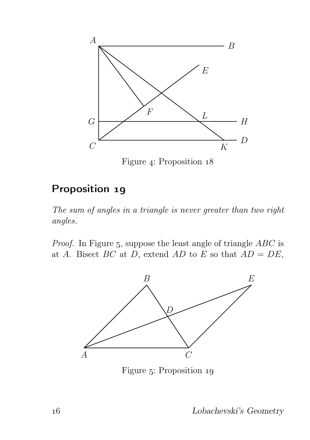

Figure 4: Proposition 18

### Proposition 19

The sum of angles in a triangle is never greater than two right angles.

*Proof.* In Figure 5, suppose the least angle of triangle  $ABC$  is at A. Bisect BC at D, extend AD to E so that  $AD = DE$ ,



Figure 5: Proposition 19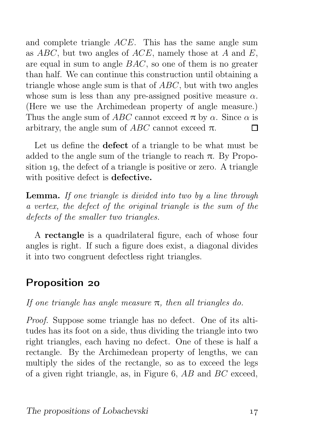and complete triangle ACE. This has the same angle sum as  $ABC$ , but two angles of  $ACE$ , namely those at A and E, are equal in sum to angle BAC, so one of them is no greater than half. We can continue this construction until obtaining a triangle whose angle sum is that of ABC, but with two angles whose sum is less than any pre-assigned positive measure  $\alpha$ . (Here we use the Archimedean property of angle measure.) Thus the angle sum of ABC cannot exceed  $\pi$  by  $\alpha$ . Since  $\alpha$  is arbitrary, the angle sum of  $ABC$  cannot exceed  $\pi$ . П

Let us define the defect of a triangle to be what must be added to the angle sum of the triangle to reach  $\pi$ . By Proposition  $19$ , the defect of a triangle is positive or zero. A triangle with positive defect is defective.

Lemma. If one triangle is divided into two by a line through a vertex, the defect of the original triangle is the sum of the defects of the smaller two triangles.

A rectangle is a quadrilateral figure, each of whose four angles is right. If such a figure does exist, a diagonal divides it into two congruent defectless right triangles.

#### Proposition 20

If one triangle has angle measure  $\pi$ , then all triangles do.

Proof. Suppose some triangle has no defect. One of its altitudes has its foot on a side, thus dividing the triangle into two right triangles, each having no defect. One of these is half a rectangle. By the Archimedean property of lengths, we can multiply the sides of the rectangle, so as to exceed the legs of a given right triangle, as, in Figure 6,  $AB$  and  $BC$  exceed,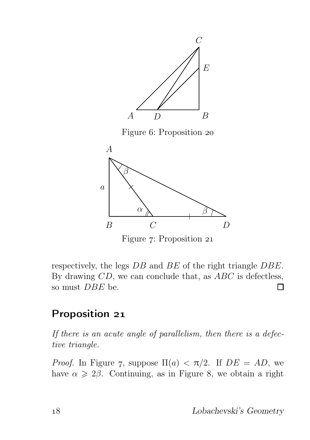

Figure 7: Proposition 21

respectively, the legs DB and BE of the right triangle DBE. By drawing  $CD$ , we can conclude that, as  $ABC$  is defectless, so must DBE be. Π

### Proposition 21

If there is an acute angle of parallelism, then there is a defective triangle.

*Proof.* In Figure 7, suppose  $\Pi(a) < \pi/2$ . If  $DE = AD$ , we have  $\alpha \geq 2\beta$ . Continuing, as in Figure 8, we obtain a right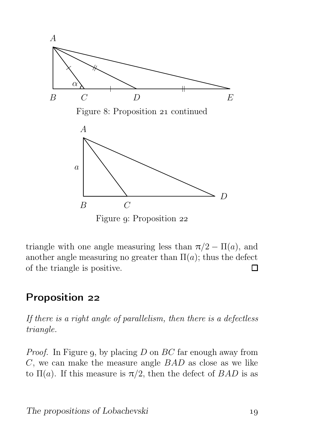

triangle with one angle measuring less than  $\pi/2 - \Pi(a)$ , and another angle measuring no greater than  $\Pi(a)$ ; thus the defect of the triangle is positive. П

#### Proposition 22

If there is a right angle of parallelism, then there is a defectless triangle.

*Proof.* In Figure 9, by placing  $D$  on  $BC$  far enough away from  $C$ , we can make the measure angle  $BAD$  as close as we like to  $\Pi(a)$ . If this measure is  $\pi/2$ , then the defect of  $BAD$  is as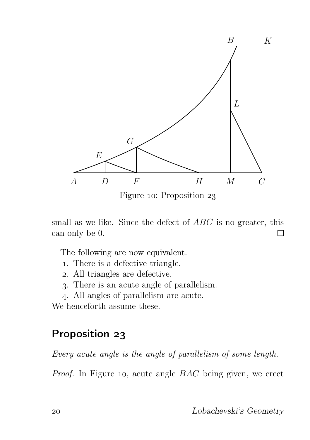

Figure 10: Proposition 23

small as we like. Since the defect of ABC is no greater, this can only be 0. □

The following are now equivalent.

- . There is a defective triangle.
- . All triangles are defective.
- . There is an acute angle of parallelism.
- . All angles of parallelism are acute.

We henceforth assume these.

#### Proposition 23

Every acute angle is the angle of parallelism of some length.

*Proof.* In Figure 10, acute angle  $BAC$  being given, we erect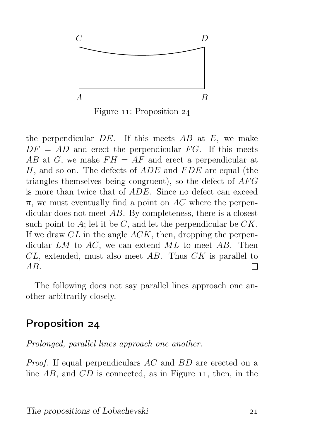

Figure 11: Proposition  $24$ 

the perpendicular  $DE$ . If this meets  $AB$  at  $E$ , we make  $DF = AD$  and erect the perpendicular FG. If this meets AB at G, we make  $FH = AF$  and erect a perpendicular at H, and so on. The defects of  $ADE$  and  $FDE$  are equal (the triangles themselves being congruent), so the defect of  $AFG$ is more than twice that of ADE. Since no defect can exceed  $\pi$ , we must eventually find a point on AC where the perpendicular does not meet AB. By completeness, there is a closest such point to A; let it be  $C$ , and let the perpendicular be  $CK$ . If we draw  $CL$  in the angle  $ACK$ , then, dropping the perpendicular  $LM$  to  $AC$ , we can extend  $ML$  to meet  $AB$ . Then  $CL$ , extended, must also meet AB. Thus  $CK$  is parallel to  $AB$ . П

The following does not say parallel lines approach one another arbitrarily closely.

#### Proposition 24

Prolonged, parallel lines approach one another.

Proof. If equal perpendiculars AC and BD are erected on a line  $AB$ , and  $CD$  is connected, as in Figure 11, then, in the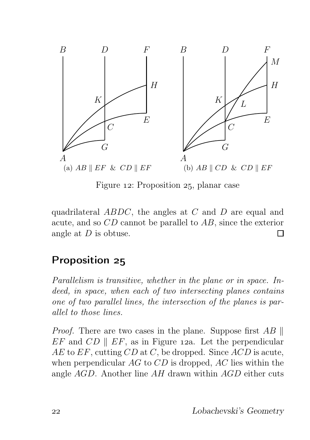

Figure 12: Proposition 25, planar case

quadrilateral ABDC, the angles at C and D are equal and acute, and so CD cannot be parallel to AB, since the exterior angle at D is obtuse.  $\Box$ 

### Proposition 25

Parallelism is transitive, whether in the plane or in space. Indeed, in space, when each of two intersecting planes contains one of two parallel lines, the intersection of the planes is parallel to those lines.

*Proof.* There are two cases in the plane. Suppose first  $AB \parallel$  $EF$  and  $CD \parallel EF$ , as in Figure 12a. Let the perpendicular  $AE$  to  $EF$ , cutting  $CD$  at C, be dropped. Since  $ACD$  is acute, when perpendicular  $AG$  to  $CD$  is dropped,  $AC$  lies within the angle AGD. Another line AH drawn within AGD either cuts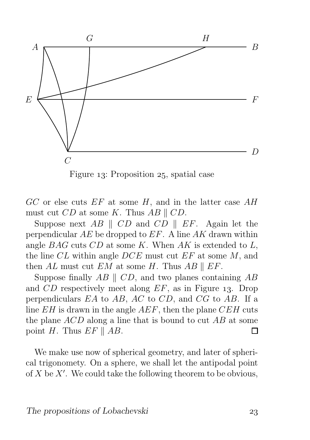

Figure 13: Proposition 25, spatial case

 $GC$  or else cuts  $EF$  at some H, and in the latter case  $AH$ must cut  $CD$  at some K. Thus  $AB \parallel CD$ .

Suppose next  $AB \parallel CD$  and  $CD \parallel EF$ . Again let the perpendicular  $AE$  be dropped to  $EF$ . A line  $AK$  drawn within angle  $BAG$  cuts  $CD$  at some K. When  $AK$  is extended to L, the line CL within angle  $DCE$  must cut  $EF$  at some M, and then AL must cut EM at some H. Thus AB  $\parallel$  EF.

Suppose finally  $AB \parallel CD$ , and two planes containing  $AB$ and  $CD$  respectively meet along  $EF$ , as in Figure 13. Drop perpendiculars EA to AB, AC to CD, and CG to AB. If a line  $EH$  is drawn in the angle  $AEF$ , then the plane  $CEH$  cuts the plane ACD along a line that is bound to cut AB at some point H. Thus  $EF \parallel AB$ . П

We make use now of spherical geometry, and later of spherical trigonomety. On a sphere, we shall let the antipodal point of  $X$  be  $X'$ . We could take the following theorem to be obvious,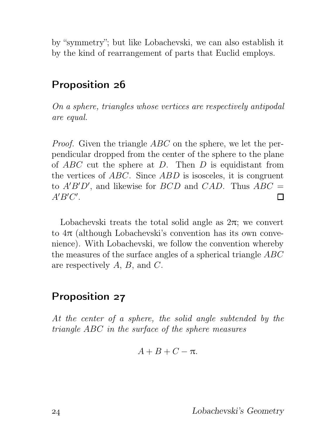by "symmetry"; but like Lobachevski, we can also establish it by the kind of rearrangement of parts that Euclid employs.

### Proposition 26

On a sphere, triangles whose vertices are respectively antipodal are equal.

Proof. Given the triangle ABC on the sphere, we let the perpendicular dropped from the center of the sphere to the plane of  $ABC$  cut the sphere at D. Then D is equidistant from the vertices of ABC. Since ABD is isosceles, it is congruent to  $A'B'D'$ , and likewise for  $BCD$  and  $CAD$ . Thus  $ABC =$  $A'B'C'.$ П

Lobachevski treats the total solid angle as  $2\pi$ ; we convert to  $4\pi$  (although Lobachevski's convention has its own convenience). With Lobachevski, we follow the convention whereby the measures of the surface angles of a spherical triangle ABC are respectively  $A, B$ , and  $C$ .

#### Proposition 27

At the center of a sphere, the solid angle subtended by the triangle ABC in the surface of the sphere measures

$$
A+B+C-\pi.
$$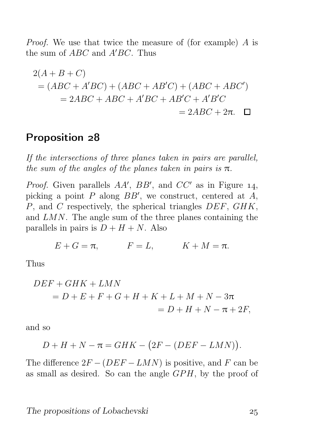Proof. We use that twice the measure of (for example) A is the sum of  $ABC$  and  $A'BC$ . Thus

$$
2(A + B + C)
$$
  
=  $(ABC + A'BC) + (ABC + AB'C) + (ABC + ABC')$   
=  $2ABC + ABC + A'BC + AB'C + A'B'C$   
=  $2ABC + 2\pi$ .

#### Proposition 28

If the intersections of three planes taken in pairs are parallel, the sum of the angles of the planes taken in pairs is  $\pi$ .

*Proof.* Given parallels  $AA'$ ,  $BB'$ , and  $CC'$  as in Figure 14, picking a point  $P$  along  $BB'$ , we construct, centered at  $\overline{A}$ , P, and C respectively, the spherical triangles DEF, GHK, and LMN. The angle sum of the three planes containing the parallels in pairs is  $D + H + N$ . Also

$$
E + G = \pi, \qquad F = L, \qquad K + M = \pi.
$$

Thus

$$
DEF + GHK + LMN
$$
  
= D + E + F + G + H + K + L + M + N - 3 $\pi$   
= D + H + N -  $\pi$ + 2F,

and so

$$
D + H + N - \pi = GHK - (2F - (DEF - LMN)).
$$

The difference  $2F - (DEF - LMN)$  is positive, and F can be as small as desired. So can the angle  $GPH$ , by the proof of

#### The propositions of Lobachevski 25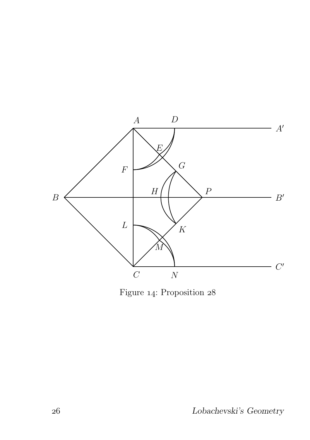

Figure 14: Proposition  $28$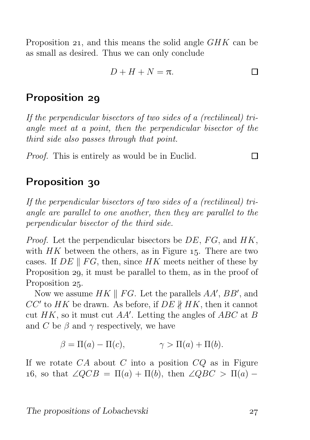Proposition 21, and this means the solid angle  $GHK$  can be as small as desired. Thus we can only conclude

$$
D + H + N = \pi.
$$

#### Proposition 29

If the perpendicular bisectors of two sides of a (rectilineal) triangle meet at a point, then the perpendicular bisector of the third side also passes through that point.

Proof. This is entirely as would be in Euclid.

#### Proposition 30

If the perpendicular bisectors of two sides of a (rectilineal) triangle are parallel to one another, then they are parallel to the perpendicular bisector of the third side.

*Proof.* Let the perpendicular bisectors be  $DE$ ,  $FG$ , and  $HK$ , with  $HK$  between the others, as in Figure 15. There are two cases. If  $DE \parallel FG$ , then, since HK meets neither of these by Proposition 29, it must be parallel to them, as in the proof of Proposition 25.

Now we assume  $HK \parallel FG$ . Let the parallels  $AA'$ ,  $BB'$ , and  $CC'$  to  $HK$  be drawn. As before, if  $DE \nparallel HK$ , then it cannot cut  $HK$ , so it must cut  $AA'$ . Letting the angles of  $ABC$  at B and C be  $\beta$  and  $\gamma$  respectively, we have

 $\beta = \Pi(a) - \Pi(c), \qquad \gamma > \Pi(a) + \Pi(b).$ 

If we rotate  $CA$  about C into a position  $CQ$  as in Figure 16, so that  $\angle QCB = \Pi(a) + \Pi(b)$ , then  $\angle QBC > \Pi(a)$  –

П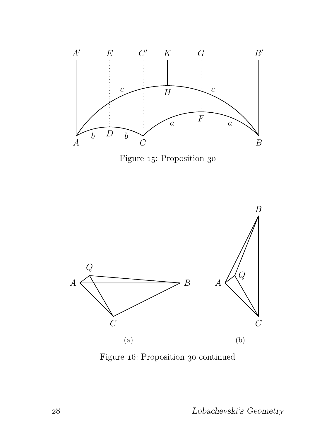

Figure 15: Proposition 30



Figure 16: Proposition 30 continued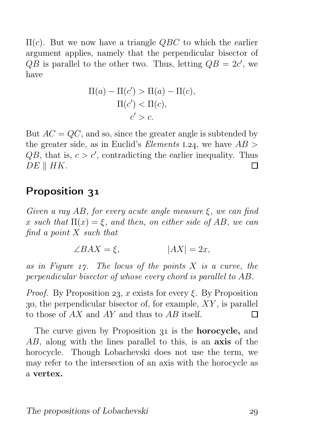$\Pi(c)$ . But we now have a triangle QBC to which the earlier argument applies, namely that the perpendicular bisector of  $\overline{QB}$  is parallel to the other two. Thus, letting  $QB = 2c'$ , we have

$$
\Pi(a) - \Pi(c') > \Pi(a) - \Pi(c),
$$
\n
$$
\Pi(c') < \Pi(c),
$$
\n
$$
c' > c.
$$

But  $AC = QC$ , and so, since the greater angle is subtended by the greater side, as in Euclid's *Elements* 1.24, we have  $AB >$  $QB$ , that is,  $c > c'$ , contradicting the earlier inequality. Thus  $DE \parallel HK$ . П

#### Proposition 31

Given a ray AB, for every acute angle measure  $\xi$ , we can find x such that  $\Pi(x) = \xi$ , and then, on either side of AB, we can find a point X such that

$$
\angle BAX = \xi, \qquad |AX| = 2x,
$$

as in Figure  $1\gamma$ . The locus of the points X is a curve, the perpendicular bisector of whose every chord is parallel to AB.

*Proof.* By Proposition 23, x exists for every  $\xi$ . By Proposition 30, the perpendicular bisector of, for example,  $XY$ , is parallel to those of AX and AY and thus to AB itself. П

The curve given by Proposition 31 is the **horocycle**, and AB, along with the lines parallel to this, is an axis of the horocycle. Though Lobachevski does not use the term, we may refer to the intersection of an axis with the horocycle as a vertex.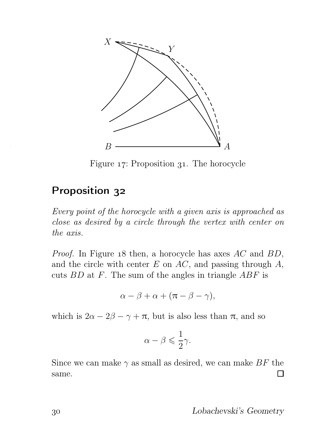

Figure 17: Proposition 31. The horocycle

#### Proposition 32

Every point of the horocycle with a given axis is approached as close as desired by a circle through the vertex with center on the axis.

*Proof.* In Figure 18 then, a horocycle has axes  $AC$  and  $BD$ , and the circle with center  $E$  on  $AC$ , and passing through  $A$ , cuts  $BD$  at F. The sum of the angles in triangle  $ABF$  is

$$
\alpha - \beta + \alpha + (\pi - \beta - \gamma),
$$

which is  $2\alpha - 2\beta - \gamma + \pi$ , but is also less than  $\pi$ , and so

$$
\alpha - \beta \leqslant \frac{1}{2}\gamma.
$$

Since we can make  $\gamma$  as small as desired, we can make BF the  $\Box$ same.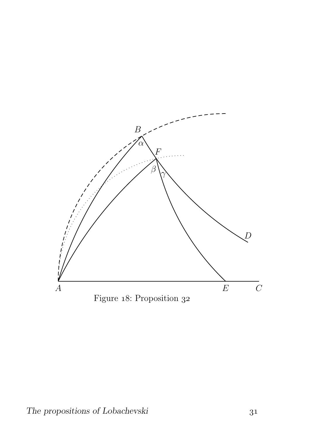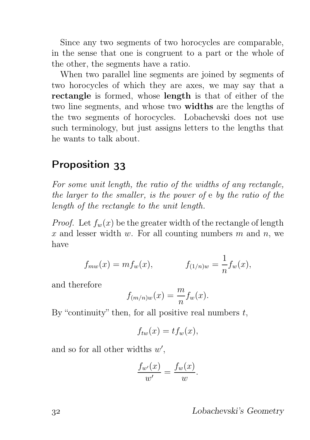Since any two segments of two horocycles are comparable, in the sense that one is congruent to a part or the whole of the other, the segments have a ratio.

When two parallel line segments are joined by segments of two horocycles of which they are axes, we may say that a rectangle is formed, whose length is that of either of the two line segments, and whose two widths are the lengths of the two segments of horocycles. Lobachevski does not use such terminology, but just assigns letters to the lengths that he wants to talk about.

#### Proposition 33

For some unit length, the ratio of the widths of any rectangle, the larger to the smaller, is the power of e by the ratio of the length of the rectangle to the unit length.

*Proof.* Let  $f_w(x)$  be the greater width of the rectangle of length x and lesser width w. For all counting numbers  $m$  and  $n$ , we have

$$
f_{mw}(x) = mf_w(x),
$$
  $f_{(1/n)w} = \frac{1}{n}f_w(x),$ 

and therefore

$$
f_{(m/n)w}(x) = \frac{m}{n} f_w(x).
$$

By "continuity" then, for all positive real numbers  $t$ ,

$$
f_{tw}(x) = tf_w(x),
$$

and so for all other widths  $w'$ ,

$$
\frac{f_{w'}(x)}{w'} = \frac{f_w(x)}{w}.
$$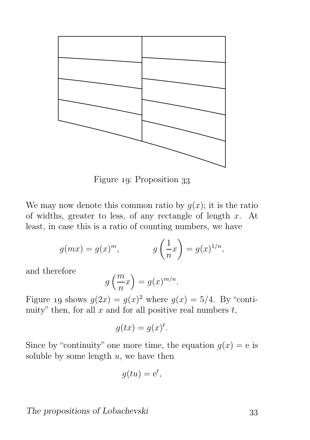

Figure 19: Proposition 33

We may now denote this common ratio by  $q(x)$ ; it is the ratio of widths, greater to less, of any rectangle of length  $x$ . At least, in case this is a ratio of counting numbers, we have

$$
g(mx) = g(x)^m, \qquad \qquad g\left(\frac{1}{n}x\right) = g(x)^{1/n},
$$

and therefore

$$
g\left(\frac{m}{n}x\right) = g(x)^{m/n}.
$$

Figure 19 shows  $g(2x) = g(x)^2$  where  $g(x) = 5/4$ . By "continuity" then, for all  $x$  and for all positive real numbers  $t$ ,

$$
g(tx) = g(x)^t.
$$

Since by "continuity" one more time, the equation  $q(x) = e$  is soluble by some length  $u$ , we have then

$$
g(tu) = e^t,
$$

The propositions of Lobachevski 33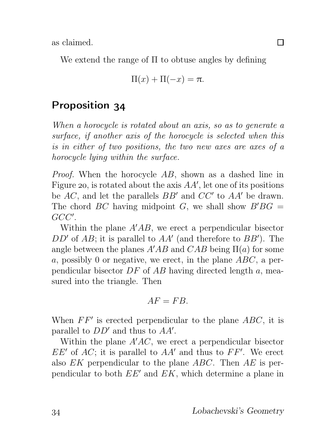as claimed.

We extend the range of  $\Pi$  to obtuse angles by defining

$$
\Pi(x) + \Pi(-x) = \pi.
$$

### Proposition 34

When a horocycle is rotated about an axis, so as to generate a surface, if another axis of the horocycle is selected when this is in either of two positions, the two new axes are axes of a horocycle lying within the surface.

Proof. When the horocycle AB, shown as a dashed line in Figure 20, is rotated about the axis  $AA'$ , let one of its positions be  $AC$ , and let the parallels  $BB'$  and  $CC'$  to  $AA'$  be drawn. The chord BC having midpoint G, we shall show  $B'BG =$ GCC′ .

Within the plane  $A'AB$ , we erect a perpendicular bisector  $DD'$  of  $AB$ ; it is parallel to  $AA'$  (and therefore to  $BB'$ ). The angle between the planes  $A'AB$  and  $CAB$  being  $\Pi(a)$  for some a, possibly 0 or negative, we erect, in the plane  $ABC$ , a perpendicular bisector  $DF$  of  $AB$  having directed length a, measured into the triangle. Then

$$
AF = FB.
$$

When  $FF'$  is erected perpendicular to the plane  $ABC$ , it is parallel to  $DD'$  and thus to  $AA'$ .

Within the plane  $A'AC$ , we erect a perpendicular bisector  $EE'$  of  $AC$ ; it is parallel to  $AA'$  and thus to  $FF'$ . We erect also  $EK$  perpendicular to the plane  $ABC$ . Then  $AE$  is perpendicular to both EE′ and EK, which determine a plane in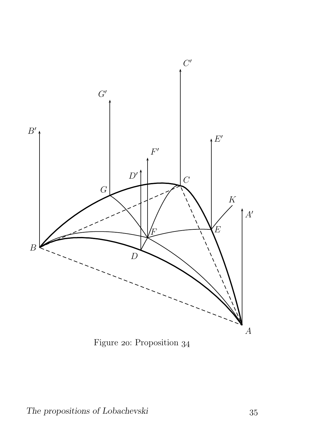

Figure 20: Proposition 34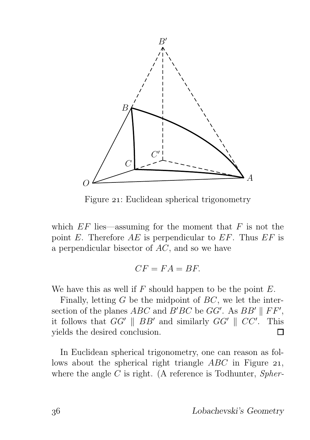

Figure 21: Euclidean spherical trigonometry

which  $EF$  lies—assuming for the moment that  $F$  is not the point E. Therefore  $AE$  is perpendicular to  $EF$ . Thus  $EF$  is a perpendicular bisector of AC, and so we have

$$
CF = FA = BF.
$$

We have this as well if  $F$  should happen to be the point  $E$ .

Finally, letting  $G$  be the midpoint of  $BC$ , we let the intersection of the planes  $ABC$  and  $B'BC$  be  $GG'$ . As  $BB' \parallel FF'$ , it follows that  $GG' \parallel BB'$  and similarly  $GG' \parallel CC'$ . This yields the desired conclusion.  $\Box$ 

In Euclidean spherical trigonometry, one can reason as follows about the spherical right triangle  $ABC$  in Figure 21, where the angle  $C$  is right. (A reference is Todhunter, *Spher-*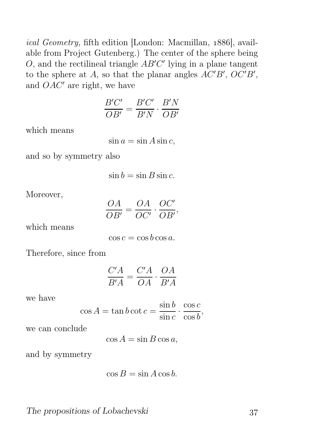ical Geometry, fifth edition [London: Macmillan, 1886], available from Project Gutenberg.) The center of the sphere being  $O$ , and the rectilineal triangle  $AB'C'$  lying in a plane tangent to the sphere at A, so that the planar angles  $\overline{AC'B'}$ ,  $\overline{OC'B'}$ , and  $OAC'$  are right, we have

$$
\frac{B'C'}{OB'} = \frac{B'C'}{B'N} \cdot \frac{B'N}{OB'}
$$

which means

 $\sin a = \sin A \sin c$ ,

and so by symmetry also

 $\sin h = \sin B \sin c$ .

Moreover,

OA  $\frac{\partial H}{\partial B'} =$ OA  $\overline{OC'}$  .  $OC'$  $\frac{\partial \mathcal{L}}{\partial B'}$ 

which means

 $\cos c = \cos b \cos a$ .

Therefore, since from

$$
\frac{C'A}{B'A} = \frac{C'A}{OA} \cdot \frac{OA}{B'A}
$$

we have

$$
\cos A = \tan b \cot c = \frac{\sin b}{\sin c} \cdot \frac{\cos c}{\cos b},
$$

we can conclude

 $\cos A = \sin B \cos a,$ 

and by symmetry

$$
\cos B = \sin A \cos b.
$$

The propositions of Lobachevski 37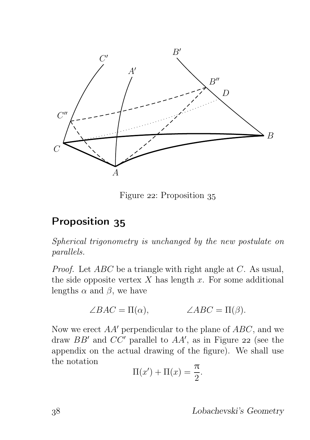

Figure 22: Proposition 35

## Proposition 35

Spherical trigonometry is unchanged by the new postulate on parallels.

Proof. Let ABC be a triangle with right angle at C. As usual, the side opposite vertex  $X$  has length  $x$ . For some additional lengths  $\alpha$  and  $\beta$ , we have

$$
\angle BAC = \Pi(\alpha), \qquad \angle ABC = \Pi(\beta).
$$

Now we erect  $AA'$  perpendicular to the plane of  $ABC$ , and we draw  $BB'$  and  $CC'$  parallel to  $AA'$ , as in Figure 22 (see the appendix on the actual drawing of the figure). We shall use the notation

$$
\Pi(x') + \Pi(x) = \frac{\pi}{2}.
$$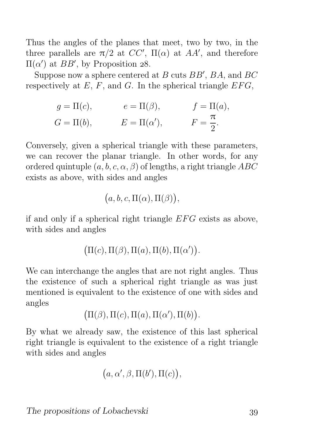Thus the angles of the planes that meet, two by two, in the three parallels are  $\pi/2$  at  $CC'$ ,  $\Pi(\alpha)$  at AA', and therefore  $\Pi(α')$  at *BB'*, by Proposition 28.

Suppose now a sphere centered at  $B$  cuts  $BB', B\overline{A}$ , and  $BC$ respectively at  $E$ ,  $F$ , and  $G$ . In the spherical triangle  $EFG$ ,

$$
g = \Pi(c)
$$
,  $e = \Pi(\beta)$ ,  $f = \Pi(a)$ ,  
\n $G = \Pi(b)$ ,  $E = \Pi(\alpha')$ ,  $F = \frac{\pi}{2}$ .

Conversely, given a spherical triangle with these parameters, we can recover the planar triangle. In other words, for any ordered quintuple  $(a, b, c, \alpha, \beta)$  of lengths, a right triangle ABC exists as above, with sides and angles

$$
(a, b, c, \Pi(\alpha), \Pi(\beta)),
$$

if and only if a spherical right triangle  $EFG$  exists as above, with sides and angles

$$
(\Pi(c), \Pi(\beta), \Pi(a), \Pi(b), \Pi(\alpha')).
$$

We can interchange the angles that are not right angles. Thus the existence of such a spherical right triangle as was just mentioned is equivalent to the existence of one with sides and angles

$$
\big(\Pi(\beta), \Pi(c), \Pi(a), \Pi(\alpha'), \Pi(b)\big).
$$

By what we already saw, the existence of this last spherical right triangle is equivalent to the existence of a right triangle with sides and angles

$$
(a, \alpha', \beta, \Pi(b'), \Pi(c)),
$$

The propositions of Lobachevski 39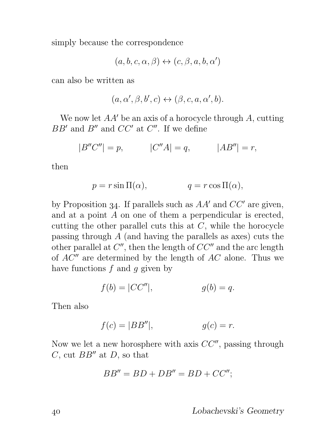simply because the correspondence

$$
(a,b,c,\alpha,\beta) \leftrightarrow (c,\beta,a,b,\alpha')
$$

can also be written as

$$
(a,\alpha',\beta,b',c)\leftrightarrow (\beta,c,a,\alpha',b).
$$

We now let AA' be an axis of a horocycle through A, cutting  $BB'$  and  $B''$  and  $CC'$  at  $C''$ . If we define

$$
|B''C''| = p,
$$
  $|C''A| = q,$   $|AB''| = r,$ 

then

$$
p = r \sin \Pi(\alpha), \qquad q = r \cos \Pi(\alpha),
$$

by Proposition 34. If parallels such as  $AA'$  and  $CC'$  are given, and at a point A on one of them a perpendicular is erected, cutting the other parallel cuts this at  $C$ , while the horocycle passing through A (and having the parallels as axes) cuts the other parallel at  $C''$ , then the length of  $CC''$  and the arc length of  $AC''$  are determined by the length of  $AC$  alone. Thus we have functions  $f$  and  $q$  given by

$$
f(b) = |CC''|,
$$
 
$$
g(b) = q.
$$

Then also

$$
f(c) = |BB''|, \qquad g(c) = r.
$$

Now we let a new horosphere with axis  $CC''$ , passing through C, cut  $BB''$  at D, so that

$$
BB'' = BD + DB'' = BD + CC'';
$$

Lobachevski's Geometry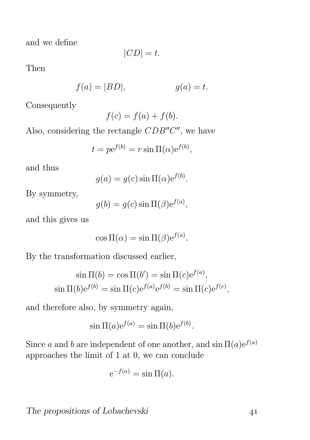and we define

$$
|CD| = t.
$$

Then

$$
f(a) = |BD|, \t\t g(a) = t.
$$

Consequently

$$
f(c) = f(a) + f(b).
$$

Also, considering the rectangle  $CDB''C''$ , we have

$$
t = p e^{f(b)} = r \sin \Pi(\alpha) e^{f(b)},
$$

and thus

$$
g(a) = g(c) \sin \Pi(\alpha) e^{f(b)}.
$$

By symmetry,

$$
g(b) = g(c) \sin \Pi(\beta) e^{f(a)},
$$

and this gives us

$$
\cos \Pi(\alpha) = \sin \Pi(\beta) e^{f(a)}.
$$

By the transformation discussed earlier,

$$
\sin \Pi(b) = \cos \Pi(b') = \sin \Pi(c)e^{f(a)},
$$
  
\n
$$
\sin \Pi(b)e^{f(b)} = \sin \Pi(c)e^{f(a)}e^{f(b)} = \sin \Pi(c)e^{f(c)},
$$

and therefore also, by symmetry again,

$$
\sin \Pi(a)e^{f(a)} = \sin \Pi(b)e^{f(b)}.
$$

Since a and b are independent of one another, and  $\sin \Pi(a)e^{f(a)}$ approaches the limit of 1 at 0, we can conclude

$$
e^{-f(a)} = \sin \Pi(a).
$$

The propositions of Lobachevski 41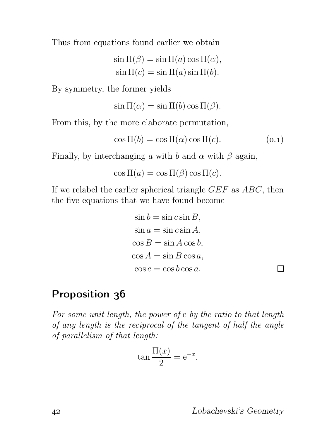Thus from equations found earlier we obtain

$$
\sin \Pi(\beta) = \sin \Pi(a) \cos \Pi(\alpha),
$$
  

$$
\sin \Pi(c) = \sin \Pi(a) \sin \Pi(b).
$$

By symmetry, the former yields

$$
\sin \Pi(\alpha) = \sin \Pi(b) \cos \Pi(\beta).
$$

From this, by the more elaborate permutation,

$$
\cos \Pi(b) = \cos \Pi(\alpha) \cos \Pi(c). \tag{0.1}
$$

Finally, by interchanging a with b and  $\alpha$  with  $\beta$  again,

 $\cos \Pi(a) = \cos \Pi(\beta) \cos \Pi(c)$ .

If we relabel the earlier spherical triangle  $GEF$  as  $ABC$ , then the five equations that we have found become

$$
\sin b = \sin c \sin B,
$$
  
\n
$$
\sin a = \sin c \sin A,
$$
  
\n
$$
\cos B = \sin A \cos b,
$$
  
\n
$$
\cos A = \sin B \cos a,
$$
  
\n
$$
\cos c = \cos b \cos a.
$$

#### Proposition 36

For some unit length, the power of e by the ratio to that length of any length is the reciprocal of the tangent of half the angle of parallelism of that length:

$$
\tan \frac{\Pi(x)}{2} = e^{-x}.
$$

 $\Box$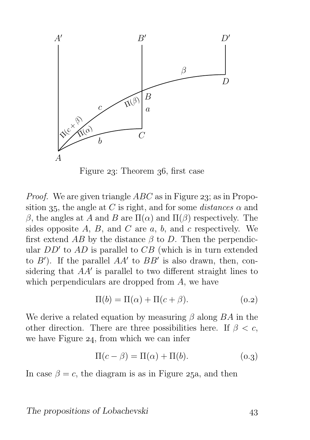

Figure  $23$ : Theorem  $36$ , first case

*Proof.* We are given triangle  $ABC$  as in Figure 23; as in Proposition 35, the angle at C is right, and for some *distances*  $\alpha$  and β, the angles at A and B are  $\Pi(\alpha)$  and  $\Pi(\beta)$  respectively. The sides opposite  $A, B$ , and  $C$  are  $a, b$ , and  $c$  respectively. We first extend AB by the distance  $\beta$  to D. Then the perpendicular  $DD'$  to  $AD$  is parallel to  $CB$  (which is in turn extended to  $B'$ ). If the parallel  $AA'$  to  $BB'$  is also drawn, then, considering that AA′ is parallel to two different straight lines to which perpendiculars are dropped from A, we have

$$
\Pi(b) = \Pi(\alpha) + \Pi(c + \beta).
$$
\n(0.2)

We derive a related equation by measuring  $\beta$  along  $BA$  in the other direction. There are three possibilities here. If  $\beta < c$ , we have Figure  $24$ , from which we can infer

$$
\Pi(c - \beta) = \Pi(\alpha) + \Pi(b). \tag{0.3}
$$

In case  $\beta = c$ , the diagram is as in Figure 25a, and then

The propositions of Lobachevski 43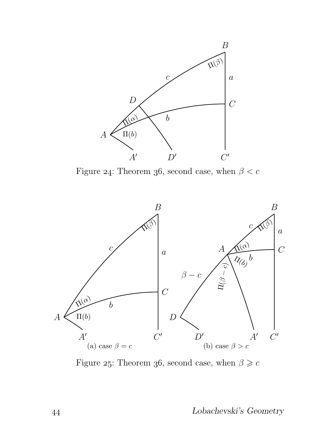

Figure 24: Theorem 36, second case, when  $\beta < c$ 



Figure 25: Theorem 36, second case, when  $\beta \geq c$ 

Lobachevski's Geometry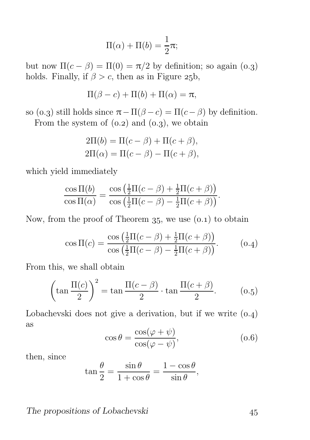$$
\Pi(\alpha) + \Pi(b) = \frac{1}{2}\pi;
$$

but now  $\Pi(c - \beta) = \Pi(0) = \pi/2$  by definition; so again (0.3) holds. Finally, if  $\beta > c$ , then as in Figure 25b,

$$
\Pi(\beta - c) + \Pi(b) + \Pi(\alpha) = \pi,
$$

so (0.3) still holds since  $\pi - \Pi(\beta - c) = \Pi(c - \beta)$  by definition.

From the system of  $(0.2)$  and  $(0.3)$ , we obtain

$$
2\Pi(b) = \Pi(c - \beta) + \Pi(c + \beta),
$$
  

$$
2\Pi(\alpha) = \Pi(c - \beta) - \Pi(c + \beta),
$$

which yield immediately

$$
\frac{\cos \Pi(b)}{\cos \Pi(\alpha)} = \frac{\cos \left(\frac{1}{2}\Pi(c-\beta) + \frac{1}{2}\Pi(c+\beta)\right)}{\cos \left(\frac{1}{2}\Pi(c-\beta) - \frac{1}{2}\Pi(c+\beta)\right)}.
$$

Now, from the proof of Theorem  $35$ , we use  $(0.1)$  to obtain

$$
\cos \Pi(c) = \frac{\cos \left(\frac{1}{2}\Pi(c - \beta) + \frac{1}{2}\Pi(c + \beta)\right)}{\cos \left(\frac{1}{2}\Pi(c - \beta) - \frac{1}{2}\Pi(c + \beta)\right)}.
$$
 (0.4)

From this, we shall obtain

$$
\left(\tan\frac{\Pi(c)}{2}\right)^2 = \tan\frac{\Pi(c-\beta)}{2} \cdot \tan\frac{\Pi(c+\beta)}{2}.\tag{0.5}
$$

Lobachevski does not give a derivation, but if we write  $(0.4)$ as

$$
\cos \theta = \frac{\cos(\varphi + \psi)}{\cos(\varphi - \psi)},\tag{0.6}
$$

then, since

$$
\tan\frac{\theta}{2} = \frac{\sin\theta}{1 + \cos\theta} = \frac{1 - \cos\theta}{\sin\theta},
$$

The propositions of Lobachevski 45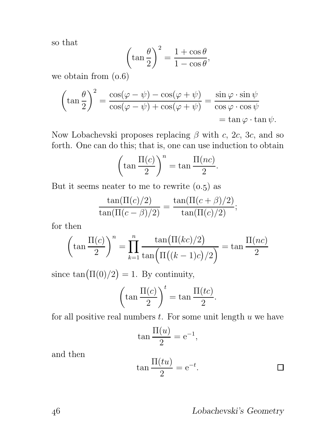so that

$$
\left(\tan\frac{\theta}{2}\right)^2 = \frac{1+\cos\theta}{1-\cos\theta},\,
$$

we obtain from  $(0.6)$ 

$$
\left(\tan\frac{\theta}{2}\right)^2 = \frac{\cos(\varphi - \psi) - \cos(\varphi + \psi)}{\cos(\varphi - \psi) + \cos(\varphi + \psi)} = \frac{\sin\varphi \cdot \sin\psi}{\cos\varphi \cdot \cos\psi}
$$

$$
= \tan\varphi \cdot \tan\psi.
$$

Now Lobachevski proposes replacing  $\beta$  with c, 2c, 3c, and so forth. One can do this; that is, one can use induction to obtain

$$
\left(\tan\frac{\Pi(c)}{2}\right)^n = \tan\frac{\Pi(nc)}{2}.
$$

But it seems neater to me to rewrite  $(0.5)$  as

$$
\frac{\tan(\Pi(c)/2)}{\tan(\Pi(c-\beta)/2)} = \frac{\tan(\Pi(c+\beta)/2)}{\tan(\Pi(c)/2)};
$$

for then

$$
\left(\tan\frac{\Pi(c)}{2}\right)^n = \prod_{k=1}^n \frac{\tan(\Pi(kc)/2)}{\tan(\Pi((k-1)c)/2)} = \tan\frac{\Pi(nc)}{2}
$$

since  $tan(\Pi(0)/2) = 1$ . By continuity,

$$
\left(\tan\frac{\Pi(c)}{2}\right)^t = \tan\frac{\Pi(tc)}{2}.
$$

for all positive real numbers  $t$ . For some unit length  $u$  we have

$$
\tan \frac{\Pi(u)}{2} = e^{-1},
$$

and then

$$
\tan \frac{\Pi(tu)}{2} = e^{-t}.\tag{}
$$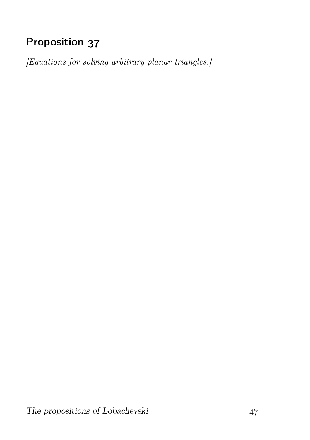# Proposition 37

[Equations for solving arbitrary planar triangles.]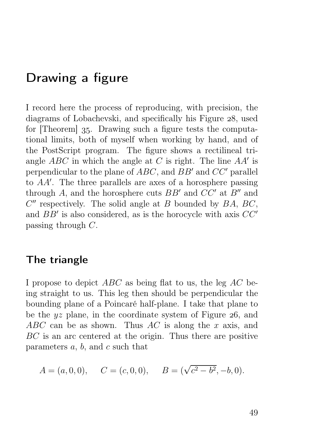## Drawing a figure

I record here the process of reproducing, with precision, the diagrams of Lobachevski, and specifically his Figure 28, used for [Theorem] 35. Drawing such a figure tests the computational limits, both of myself when working by hand, and of the PostScript program. The figure shows a rectilineal triangle  $ABC$  in which the angle at C is right. The line  $AA'$  is perpendicular to the plane of ABC, and BB′ and CC′ parallel to AA′ . The three parallels are axes of a horosphere passing through A, and the horosphere cuts  $BB'$  and  $CC'$  at  $B''$  and  $C''$  respectively. The solid angle at B bounded by  $BA, BC$ , and  $BB'$  is also considered, as is the horocycle with axis  $CC'$ passing through C.

#### The triangle

I propose to depict  $ABC$  as being flat to us, the leg  $AC$  being straight to us. This leg then should be perpendicular the bounding plane of a Poincaré half-plane. I take that plane to be the  $yz$  plane, in the coordinate system of Figure 26, and ABC can be as shown. Thus AC is along the x axis, and BC is an arc centered at the origin. Thus there are positive parameters  $a, b$ , and  $c$  such that

$$
A = (a, 0, 0),
$$
  $C = (c, 0, 0),$   $B = (\sqrt{c^2 - b^2}, -b, 0).$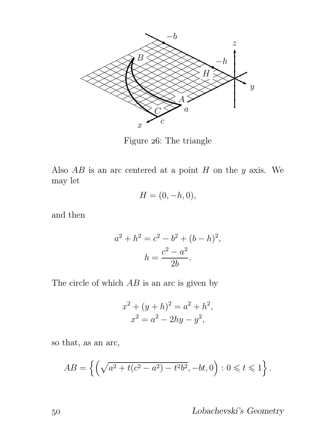

Figure 26: The triangle

Also  $AB$  is an arc centered at a point  $H$  on the  $y$  axis. We may let

$$
H=(0,-h,0),
$$

and then

$$
a^{2} + h^{2} = c^{2} - b^{2} + (b - h)^{2},
$$

$$
h = \frac{c^{2} - a^{2}}{2b}.
$$

The circle of which  $AB$  is an arc is given by

$$
x^{2} + (y+h)^{2} = a^{2} + h^{2},
$$
  

$$
x^{2} = a^{2} - 2hy - y^{2},
$$

so that, as an arc,

$$
AB = \left\{ \left( \sqrt{a^2 + t(c^2 - a^2) - t^2 b^2}, -bt, 0 \right) : 0 \leq t \leq 1 \right\}.
$$

Lobachevski's Geometry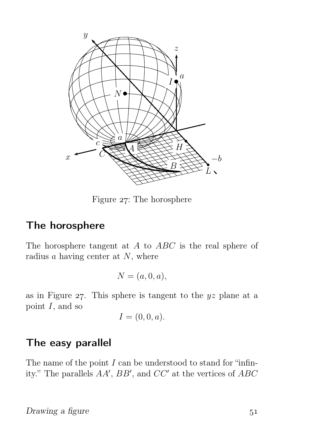

Figure  $27$ : The horosphere

#### The horosphere

The horosphere tangent at A to ABC is the real sphere of radius  $a$  having center at  $N$ , where

$$
N = (a, 0, a),
$$

as in Figure  $27$ . This sphere is tangent to the  $yz$  plane at a point  $I$ , and so

$$
I=(0,0,a).
$$

#### The easy parallel

The name of the point  $I$  can be understood to stand for "infinity." The parallels  $AA'$ ,  $BB'$ , and  $CC'$  at the vertices of  $ABC$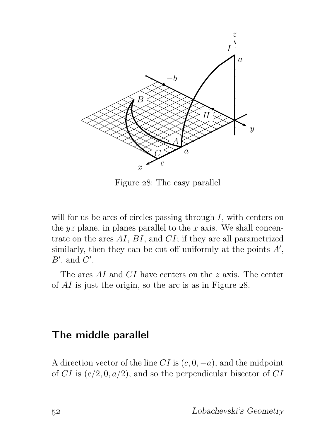

Figure 28: The easy parallel

will for us be arcs of circles passing through  $I$ , with centers on the  $yz$  plane, in planes parallel to the x axis. We shall concentrate on the arcs AI, BI, and CI; if they are all parametrized similarly, then they can be cut off uniformly at the points  $A'$ ,  $B'$ , and  $C'$ .

The arcs AI and CI have centers on the z axis. The center of  $AI$  is just the origin, so the arc is as in Figure  $28$ .

#### The middle parallel

A direction vector of the line CI is  $(c, 0, -a)$ , and the midpoint of CI is  $(c/2, 0, a/2)$ , and so the perpendicular bisector of CI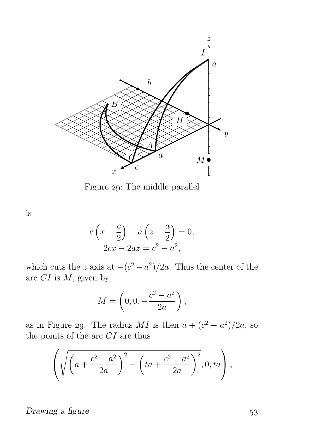

Figure 29: The middle parallel

is

$$
c\left(x - \frac{c}{2}\right) - a\left(z - \frac{a}{2}\right) = 0,
$$
  

$$
2cx - 2az = c^2 - a^2,
$$

which cuts the z axis at  $-(c^2 - a^2)/2a$ . Thus the center of the arc  $CI$  is  $M$ , given by

$$
M = \left(0, 0, -\frac{c^2 - a^2}{2a}\right),
$$

as in Figure 29. The radius  $MI$  is then  $a + (c^2 - a^2)/2a$ , so the points of the arc  $CI$  are thus

$$
\left(\sqrt{\left(a+\frac{c^2-a^2}{2a}\right)^2-\left(ta+\frac{c^2-a^2}{2a}\right)^2},0,ta\right),\right.
$$

Drawing a figure 53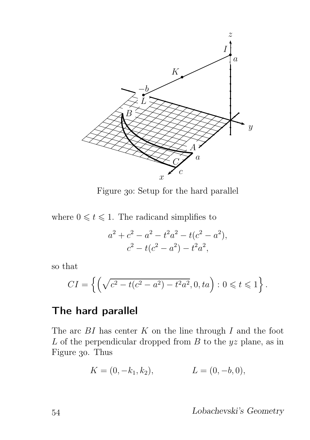

Figure 30: Setup for the hard parallel

where  $0 \leq t \leq 1$ . The radicand simplifies to

$$
a^{2} + c^{2} - a^{2} - t^{2}a^{2} - t(c^{2} - a^{2}),
$$
  

$$
c^{2} - t(c^{2} - a^{2}) - t^{2}a^{2},
$$

so that

$$
CI = \left\{ \left( \sqrt{c^2 - t(c^2 - a^2) - t^2 a^2}, 0, ta \right) : 0 \leq t \leq 1 \right\}.
$$

#### The hard parallel

The arc  $BI$  has center  $K$  on the line through  $I$  and the foot  $L$  of the perpendicular dropped from  $B$  to the  $yz$  plane, as in Figure 30. Thus

$$
K = (0, -k_1, k_2), \qquad L = (0, -b, 0),
$$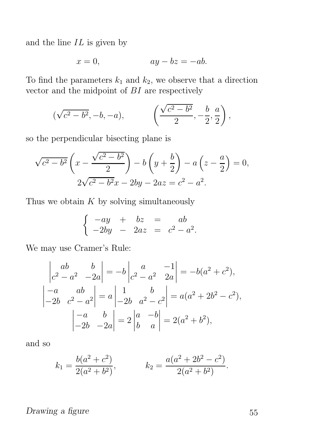and the line  $IL$  is given by

$$
x = 0, \qquad \qquad ay - bz = -ab.
$$

To find the parameters  $k_1$  and  $k_2$ , we observe that a direction vector and the midpoint of  $BI$  are respectively

$$
(\sqrt{c^2 - b^2}, -b, -a),
$$
  $\left(\frac{\sqrt{c^2 - b^2}}{2}, -\frac{b}{2}, \frac{a}{2}\right),$ 

so the perpendicular bisecting plane is

$$
\sqrt{c^2 - b^2} \left( x - \frac{\sqrt{c^2 - b^2}}{2} \right) - b \left( y + \frac{b}{2} \right) - a \left( z - \frac{a}{2} \right) = 0,
$$
  

$$
2\sqrt{c^2 - b^2}x - 2by - 2az = c^2 - a^2.
$$

Thus we obtain  $K$  by solving simultaneously

$$
\begin{cases}\n-ay & + & bx = ab \\
-2by & -2az = c^2 - a^2.\n\end{cases}
$$

We may use Cramer's Rule:

$$
\begin{vmatrix} ab & b \ c^2 - a^2 & -2a \end{vmatrix} = -b \begin{vmatrix} a & -1 \ c^2 - a^2 & 2a \end{vmatrix} = -b(a^2 + c^2),
$$
  
\n
$$
\begin{vmatrix} -a & ab \ -2b & c^2 - a^2 \end{vmatrix} = a \begin{vmatrix} 1 & b \ -2b & a^2 - c^2 \end{vmatrix} = a(a^2 + 2b^2 - c^2),
$$
  
\n
$$
\begin{vmatrix} -a & b \ -2b & -2a \end{vmatrix} = 2 \begin{vmatrix} a & -b \ b & a \end{vmatrix} = 2(a^2 + b^2),
$$

and so

$$
k_1 = \frac{b(a^2 + c^2)}{2(a^2 + b^2)},
$$
  $k_2 = \frac{a(a^2 + 2b^2 - c^2)}{2(a^2 + b^2)}.$ 

Drawing a figure 55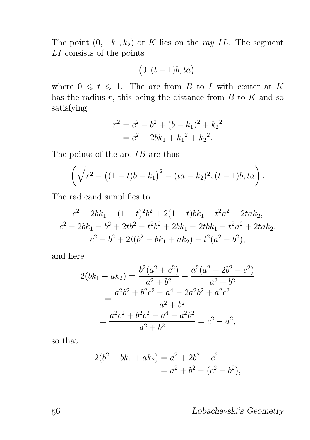The point  $(0, -k_1, k_2)$  or K lies on the ray IL. The segment LI consists of the points

$$
(0,(t-1)b,ta),
$$

where  $0 \leq t \leq 1$ . The arc from B to I with center at K has the radius  $r$ , this being the distance from  $B$  to  $K$  and so satisfying

$$
r^{2} = c^{2} - b^{2} + (b - k_{1})^{2} + k_{2}^{2}
$$

$$
= c^{2} - 2bk_{1} + k_{1}^{2} + k_{2}^{2}.
$$

The points of the arc  $IB$  are thus

$$
\left(\sqrt{r^2 - ((1-t)b - k_1)^2 - (ta - k_2)^2}, (t-1)b, ta\right).
$$

The radicand simplifies to

$$
c^{2} - 2bk_{1} - (1 - t)^{2}b^{2} + 2(1 - t)bk_{1} - t^{2}a^{2} + 2tak_{2},
$$
  
\n
$$
c^{2} - 2bk_{1} - b^{2} + 2tb^{2} - t^{2}b^{2} + 2bk_{1} - 2tbk_{1} - t^{2}a^{2} + 2tak_{2},
$$
  
\n
$$
c^{2} - b^{2} + 2t(b^{2} - bk_{1} + ak_{2}) - t^{2}(a^{2} + b^{2}),
$$

and here

$$
2(bk_1 - ak_2) = \frac{b^2(a^2 + c^2)}{a^2 + b^2} - \frac{a^2(a^2 + 2b^2 - c^2)}{a^2 + b^2}
$$
  
= 
$$
\frac{a^2b^2 + b^2c^2 - a^4 - 2a^2b^2 + a^2c^2}{a^2 + b^2}
$$
  
= 
$$
\frac{a^2c^2 + b^2c^2 - a^4 - a^2b^2}{a^2 + b^2} = c^2 - a^2,
$$

so that

$$
2(b2 - bk1 + ak2) = a2 + 2b2 - c2
$$
  
= a<sup>2</sup> + b<sup>2</sup> - (c<sup>2</sup> - b<sup>2</sup>),

Lobachevski's Geometry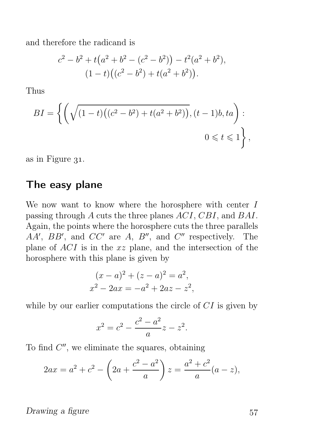and therefore the radicand is

$$
c2 - b2 + t(a2 + b2 - (c2 - b2)) - t2(a2 + b2),
$$
  
(1 - t)((c<sup>2</sup> - b<sup>2</sup>) + t(a<sup>2</sup> + b<sup>2</sup>)).

Thus

$$
BI = \left\{ \left( \sqrt{(1-t)\left( (c^2 - b^2) + t(a^2 + b^2) \right)}, (t-1)b, ta \right) : \right. \\ 0 \leq t \leq 1 \right\},
$$

as in Figure  $31$ .

#### The easy plane

We now want to know where the horosphere with center  $I$ passing through A cuts the three planes ACI, CBI, and BAI. Again, the points where the horosphere cuts the three parallels  $AA'$ ,  $BB'$ , and  $CC'$  are  $A$ ,  $B''$ , and  $C''$  respectively. The plane of ACI is in the xz plane, and the intersection of the horosphere with this plane is given by

$$
(x-a)2 + (z-a)2 = a2,x2 - 2ax = -a2 + 2az - z2,
$$

while by our earlier computations the circle of  $CI$  is given by

$$
x^2 = c^2 - \frac{c^2 - a^2}{a}z - z^2.
$$

To find  $C''$ , we eliminate the squares, obtaining

$$
2ax = a^{2} + c^{2} - \left(2a + \frac{c^{2} - a^{2}}{a}\right)z = \frac{a^{2} + c^{2}}{a}(a - z),
$$

Drawing a figure  $57$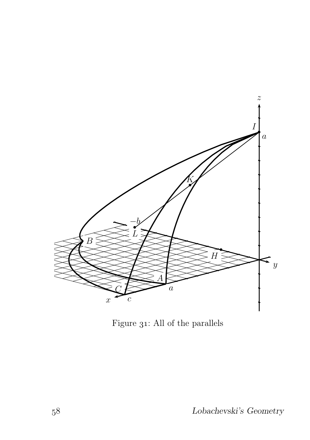

Figure  $31$ : All of the parallels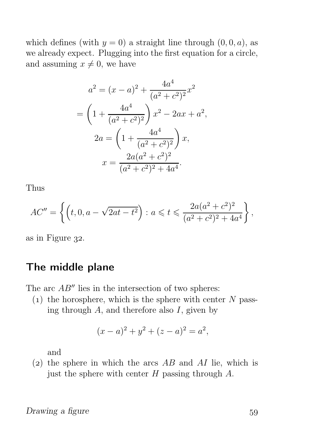which defines (with  $y = 0$ ) a straight line through  $(0, 0, a)$ , as we already expect. Plugging into the first equation for a circle, and assuming  $x \neq 0$ , we have

$$
a^{2} = (x - a)^{2} + \frac{4a^{4}}{(a^{2} + c^{2})^{2}}x^{2}
$$

$$
= \left(1 + \frac{4a^{4}}{(a^{2} + c^{2})^{2}}\right)x^{2} - 2ax + a^{2},
$$

$$
2a = \left(1 + \frac{4a^{4}}{(a^{2} + c^{2})^{2}}\right)x,
$$

$$
x = \frac{2a(a^{2} + c^{2})^{2}}{(a^{2} + c^{2})^{2} + 4a^{4}}.
$$

Thus

$$
AC'' = \left\{ \left( t, 0, a - \sqrt{2at - t^2} \right) : a \leqslant t \leqslant \frac{2a(a^2 + c^2)^2}{(a^2 + c^2)^2 + 4a^4} \right\},\,
$$

as in Figure 32.

#### The middle plane

The arc  $AB''$  lies in the intersection of two spheres:

 $(1)$  the horosphere, which is the sphere with center N passing through  $A$ , and therefore also  $I$ , given by

$$
(x-a)^2 + y^2 + (z-a)^2 = a^2,
$$

and

(2) the sphere in which the arcs  $AB$  and  $AI$  lie, which is just the sphere with center  $H$  passing through  $A$ .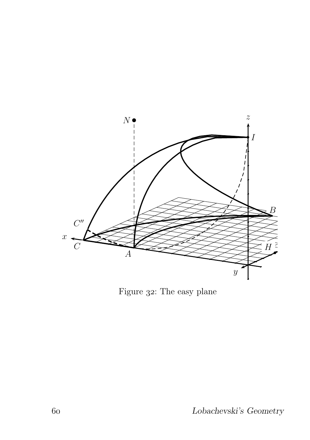

Figure 32: The easy plane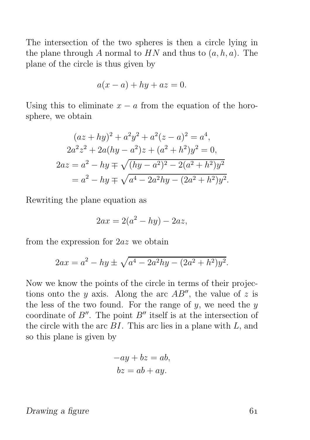The intersection of the two spheres is then a circle lying in the plane through A normal to  $HN$  and thus to  $(a, h, a)$ . The plane of the circle is thus given by

$$
a(x-a) + hy + az = 0.
$$

Using this to eliminate  $x - a$  from the equation of the horosphere, we obtain

$$
(az + hy)2 + a2y2 + a2(z - a)2 = a4,
$$
  
\n
$$
2a2z2 + 2a(hy - a2)z + (a2 + h2)y2 = 0,
$$
  
\n
$$
2az = a2 - hy \mp \sqrt{(hy - a2)2 - 2(a2 + h2)y2}
$$
  
\n
$$
= a2 - hy \mp \sqrt{a4 - 2a2hy - (2a2 + h2)y2}.
$$

Rewriting the plane equation as

$$
2ax = 2(a^2 - hy) - 2az,
$$

from the expression for 2az we obtain

$$
2ax = a^{2} - hy \pm \sqrt{a^{4} - 2a^{2}hy - (2a^{2} + h^{2})y^{2}}.
$$

Now we know the points of the circle in terms of their projections onto the y axis. Along the arc  $AB''$ , the value of z is the less of the two found. For the range of  $y$ , we need the  $y$ coordinate of  $B''$ . The point  $B''$  itself is at the intersection of the circle with the arc  $BI$ . This arc lies in a plane with  $L$ , and so this plane is given by

$$
-ay + bz = ab,
$$
  

$$
bz = ab + ay.
$$

#### Drawing a figure 61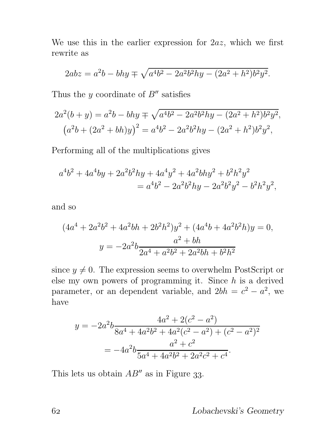We use this in the earlier expression for  $2az$ , which we first rewrite as

$$
2abz = a^2b - bhy \mp \sqrt{a^4b^2 - 2a^2b^2hy - (2a^2 + h^2)b^2y^2}.
$$

Thus the  $y$  coordinate of  $B''$  satisfies

$$
2a^{2}(b+y) = a^{2}b - bhy \mp \sqrt{a^{4}b^{2} - 2a^{2}b^{2}hy - (2a^{2} + h^{2})b^{2}y^{2}},
$$

$$
(a^{2}b + (2a^{2} + bh)y)^{2} = a^{4}b^{2} - 2a^{2}b^{2}hy - (2a^{2} + h^{2})b^{2}y^{2},
$$

Performing all of the multiplications gives

$$
a^{4}b^{2} + 4a^{4}by + 2a^{2}b^{2}hy + 4a^{4}y^{2} + 4a^{2}bhy^{2} + b^{2}h^{2}y^{2}
$$
  
=  $a^{4}b^{2} - 2a^{2}b^{2}hy - 2a^{2}b^{2}y^{2} - b^{2}h^{2}y^{2}$ ,

and so

$$
(4a4 + 2a2b2 + 4a2bh + 2b2h2)y2 + (4a4b + 4a2b2h)y = 0,
$$
  

$$
y = -2a2b \frac{a2 + bh}{2a4 + a2b2 + 2a2bh + b2h2}
$$

since  $y \neq 0$ . The expression seems to overwhelm PostScript or else my own powers of programming it. Since  $h$  is a derived parameter, or an dependent variable, and  $2bh = c^2 - a^2$ , we have

$$
y = -2a^2b \frac{4a^2 + 2(c^2 - a^2)}{8a^4 + 4a^2b^2 + 4a^2(c^2 - a^2) + (c^2 - a^2)^2}
$$

$$
= -4a^2b \frac{a^2 + c^2}{5a^4 + 4a^2b^2 + 2a^2c^2 + c^4}.
$$

This lets us obtain  $AB''$  as in Figure 33.

Lobachevski's Geometry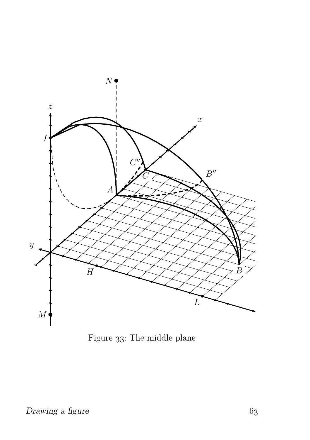

Figure 33: The middle plane  $\,$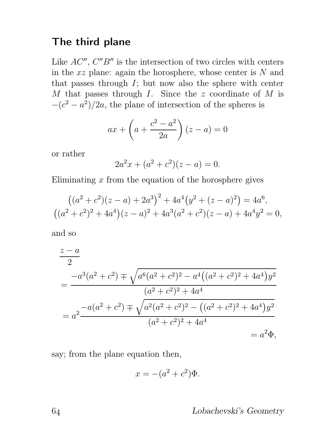#### The third plane

Like  $AC''$ ,  $C''B''$  is the intersection of two circles with centers in the  $xz$  plane: again the horosphere, whose center is  $N$  and that passes through  $I$ ; but now also the sphere with center  $M$  that passes through  $I$ . Since the  $z$  coordinate of  $M$  is  $-(c^2 - a^2)/2a$ , the plane of intersection of the spheres is

$$
ax + \left(a + \frac{c^2 - a^2}{2a}\right)(z - a) = 0
$$

or rather

$$
2a^2x + (a^2 + c^2)(z - a) = 0.
$$

Eliminating  $x$  from the equation of the horosphere gives

$$
((a2 + c2)(z - a) + 2a3)2 + 4a4(y2 + (z - a)2) = 4a6,
$$
  

$$
((a2 + c2)2 + 4a4)(z - a)2 + 4a3(a2 + c2)(z - a) + 4a4y2 = 0,
$$

and so

$$
\frac{z-a}{2}
$$
\n
$$
= \frac{-a^3(a^2+c^2) \mp \sqrt{a^6(a^2+c^2)^2 - a^4((a^2+c^2)^2+4a^4)y^2}}{(a^2+c^2)^2+4a^4}
$$
\n
$$
= a^2 \frac{-a(a^2+c^2) \mp \sqrt{a^2(a^2+c^2)^2 - ((a^2+c^2)^2+4a^4)y^2}}{(a^2+c^2)^2+4a^4}
$$
\n
$$
= a^2 \Phi,
$$

say; from the plane equation then,

$$
x = -(a^2 + c^2)\Phi.
$$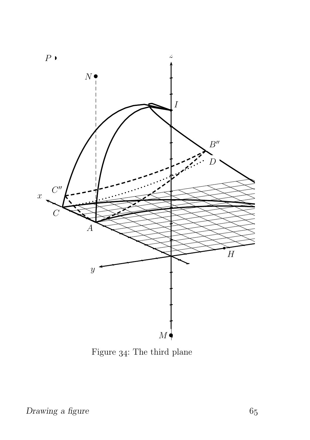

Figure 34: The third plane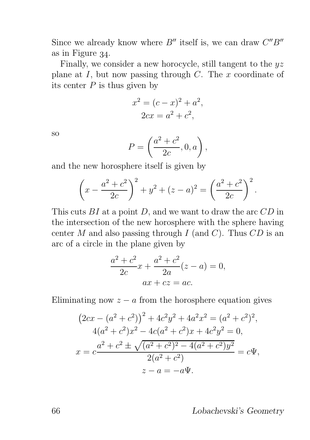Since we already know where  $B''$  itself is, we can draw  $C''B''$ as in Figure 34.

Finally, we consider a new horocycle, still tangent to the  $uz$ plane at  $I$ , but now passing through  $C$ . The  $x$  coordinate of its center  $P$  is thus given by

$$
x2 = (c - x)2 + a2,
$$
  

$$
2cx = a2 + c2,
$$

so

$$
P = \left(\frac{a^2 + c^2}{2c}, 0, a\right),
$$

and the new horosphere itself is given by

$$
\left(x - \frac{a^2 + c^2}{2c}\right)^2 + y^2 + (z - a)^2 = \left(\frac{a^2 + c^2}{2c}\right)^2.
$$

This cuts  $BI$  at a point  $D$ , and we want to draw the arc  $CD$  in the intersection of the new horosphere with the sphere having center M and also passing through I (and C). Thus  $CD$  is an arc of a circle in the plane given by

$$
\frac{a^2 + c^2}{2c}x + \frac{a^2 + c^2}{2a}(z - a) = 0,
$$
  
ax + cz = ac.

Eliminating now  $z - a$  from the horosphere equation gives

$$
(2cx - (a2 + c2))2 + 4c2y2 + 4a2x2 = (a2 + c2)2,\n4(a2 + c2)x2 - 4c(a2 + c2)x + 4c2y2 = 0,\nx = c2 + c2 \pm \sqrt{(a2 + c2)2 - 4(a2 + c2)y2} = c\Psi,\n2(a2 + c2)\nz - a = -a\Psi.
$$

Lobachevski's Geometry